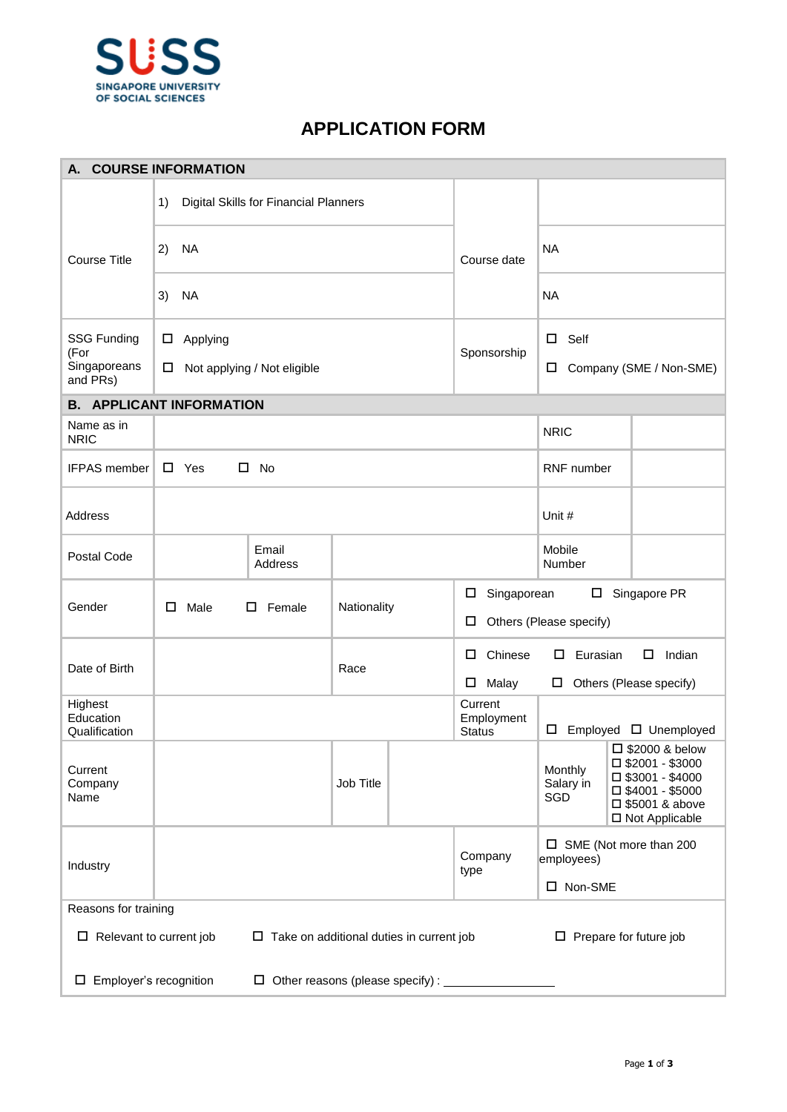

## **APPLICATION FORM**

| <b>COURSE INFORMATION</b><br>А.                                                                                    |                                             |             |                                                                       |                                                                                                                                                                                     |  |  |  |
|--------------------------------------------------------------------------------------------------------------------|---------------------------------------------|-------------|-----------------------------------------------------------------------|-------------------------------------------------------------------------------------------------------------------------------------------------------------------------------------|--|--|--|
|                                                                                                                    | Digital Skills for Financial Planners<br>1) |             |                                                                       |                                                                                                                                                                                     |  |  |  |
| <b>Course Title</b>                                                                                                | 2)<br>NA                                    |             | Course date                                                           | <b>NA</b>                                                                                                                                                                           |  |  |  |
|                                                                                                                    | <b>NA</b><br>3)                             |             |                                                                       | <b>NA</b>                                                                                                                                                                           |  |  |  |
| <b>SSG Funding</b>                                                                                                 | Applying<br>□                               |             |                                                                       | $\Box$ Self                                                                                                                                                                         |  |  |  |
| (For<br>Singaporeans<br>and PRs)                                                                                   | Not applying / Not eligible<br>$\Box$       |             | Sponsorship                                                           | Company (SME / Non-SME)<br>ш                                                                                                                                                        |  |  |  |
|                                                                                                                    | <b>B. APPLICANT INFORMATION</b>             |             |                                                                       |                                                                                                                                                                                     |  |  |  |
| Name as in<br><b>NRIC</b>                                                                                          |                                             |             |                                                                       | <b>NRIC</b>                                                                                                                                                                         |  |  |  |
| <b>IFPAS</b> member                                                                                                | $\square$ Yes<br>$\square$ No               |             |                                                                       | RNF number                                                                                                                                                                          |  |  |  |
| Address                                                                                                            |                                             |             |                                                                       | Unit #                                                                                                                                                                              |  |  |  |
| Postal Code                                                                                                        | Email<br>Address                            |             |                                                                       | Mobile<br>Number                                                                                                                                                                    |  |  |  |
| Gender                                                                                                             | Male<br>$\square$ Female<br>□               | Nationality | Singaporean<br>Singapore PR<br>□<br>Others (Please specify)<br>$\Box$ |                                                                                                                                                                                     |  |  |  |
| Date of Birth                                                                                                      |                                             | Race        | Chinese<br>□                                                          | Indian<br>Eurasian<br>$\Box$<br>Ш.                                                                                                                                                  |  |  |  |
|                                                                                                                    |                                             |             | Malay<br>$\Box$                                                       | $\Box$ Others (Please specify)                                                                                                                                                      |  |  |  |
| Highest<br>Education<br>Qualification                                                                              |                                             |             | Current<br>Employment<br><b>Status</b>                                | Employed $\Box$ Unemployed<br>$\Box$                                                                                                                                                |  |  |  |
| Current<br>Company<br>Name                                                                                         |                                             | Job Title   |                                                                       | $\Box$ \$2000 & below<br>$\square$ \$2001 - \$3000<br>Monthly<br>$\square$ \$3001 - \$4000<br>Salary in<br>$\square$ \$4001 - \$5000<br>SGD<br>□ \$5001 & above<br>□ Not Applicable |  |  |  |
| Industry                                                                                                           |                                             |             | Company<br>type                                                       | $\square$ SME (Not more than 200<br>employees)<br>□ Non-SME                                                                                                                         |  |  |  |
| Reasons for training                                                                                               |                                             |             |                                                                       |                                                                                                                                                                                     |  |  |  |
| $\Box$ Relevant to current job<br>$\Box$ Take on additional duties in current job<br>$\Box$ Prepare for future job |                                             |             |                                                                       |                                                                                                                                                                                     |  |  |  |
| $\Box$ Employer's recognition<br>$\Box$ Other reasons (please specify) : $\Box$                                    |                                             |             |                                                                       |                                                                                                                                                                                     |  |  |  |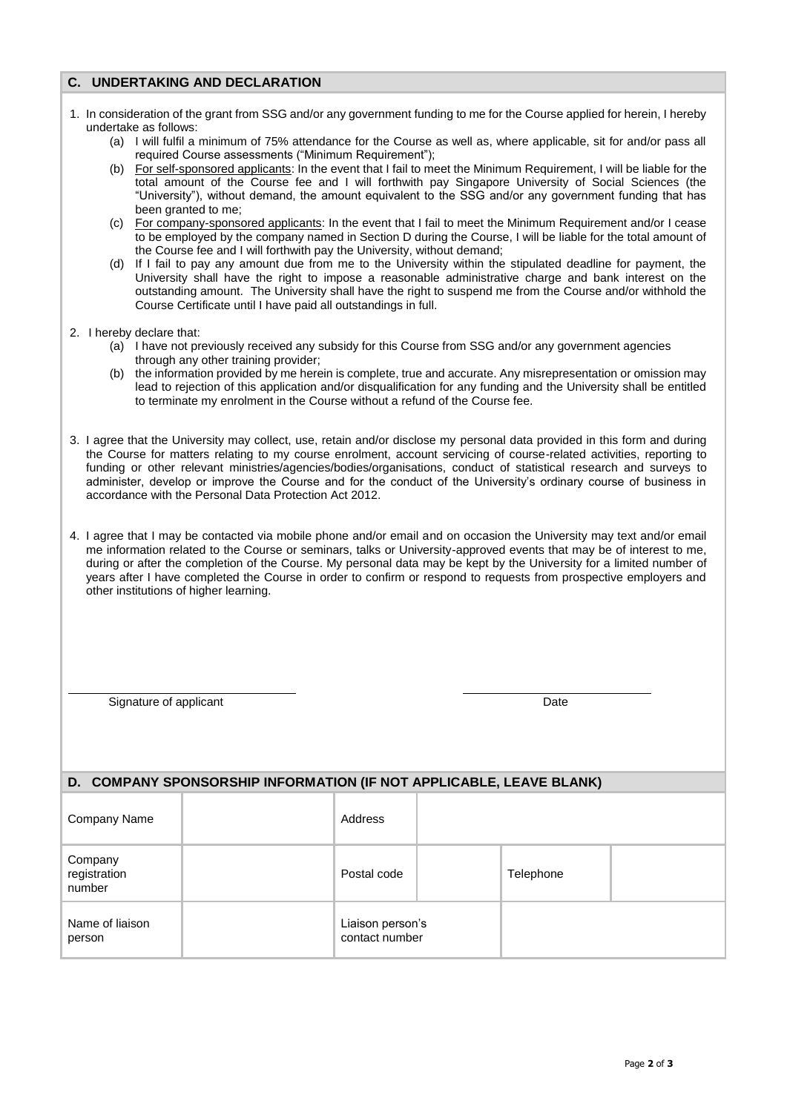## **C. UNDERTAKING AND DECLARATION**

- 1. In consideration of the grant from SSG and/or any government funding to me for the Course applied for herein, I hereby undertake as follows: (a) I will fulfil a minimum of 75% attendance for the Course as well as, where applicable, sit for and/or pass all required Course assessments ("Minimum Requirement"); (b) For self-sponsored applicants: In the event that I fail to meet the Minimum Requirement, I will be liable for the total amount of the Course fee and I will forthwith pay Singapore University of Social Sciences (the "University"), without demand, the amount equivalent to the SSG and/or any government funding that has been granted to me; (c) For company-sponsored applicants: In the event that I fail to meet the Minimum Requirement and/or I cease to be employed by the company named in Section D during the Course, I will be liable for the total amount of
	- the Course fee and I will forthwith pay the University, without demand; (d) If I fail to pay any amount due from me to the University within the stipulated deadline for payment, the University shall have the right to impose a reasonable administrative charge and bank interest on the outstanding amount. The University shall have the right to suspend me from the Course and/or withhold the Course Certificate until I have paid all outstandings in full.
- 2. I hereby declare that:
	- (a) I have not previously received any subsidy for this Course from SSG and/or any government agencies through any other training provider;
	- (b) the information provided by me herein is complete, true and accurate. Any misrepresentation or omission may lead to rejection of this application and/or disqualification for any funding and the University shall be entitled to terminate my enrolment in the Course without a refund of the Course fee.
- 3. I agree that the University may collect, use, retain and/or disclose my personal data provided in this form and during the Course for matters relating to my course enrolment, account servicing of course-related activities, reporting to funding or other relevant ministries/agencies/bodies/organisations, conduct of statistical research and surveys to administer, develop or improve the Course and for the conduct of the University's ordinary course of business in accordance with the Personal Data Protection Act 2012.
- 4. I agree that I may be contacted via mobile phone and/or email and on occasion the University may text and/or email me information related to the Course or seminars, talks or University-approved events that may be of interest to me, during or after the completion of the Course. My personal data may be kept by the University for a limited number of years after I have completed the Course in order to confirm or respond to requests from prospective employers and other institutions of higher learning.

Signature of applicant Date

| D. COMPANY SPONSORSHIP INFORMATION (IF NOT APPLICABLE, LEAVE BLANK) |  |                                    |  |           |  |  |  |  |
|---------------------------------------------------------------------|--|------------------------------------|--|-----------|--|--|--|--|
| Company Name                                                        |  | Address                            |  |           |  |  |  |  |
| Company<br>registration<br>number                                   |  | Postal code                        |  | Telephone |  |  |  |  |
| Name of liaison<br>person                                           |  | Liaison person's<br>contact number |  |           |  |  |  |  |